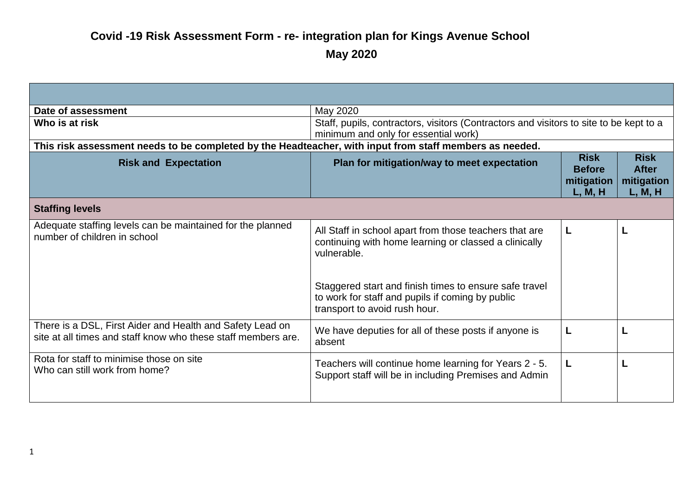| Date of assessment                                                                                                         | May 2020                                                                                                                                    |                                                       |                                                      |
|----------------------------------------------------------------------------------------------------------------------------|---------------------------------------------------------------------------------------------------------------------------------------------|-------------------------------------------------------|------------------------------------------------------|
| Who is at risk                                                                                                             | Staff, pupils, contractors, visitors (Contractors and visitors to site to be kept to a<br>minimum and only for essential work)              |                                                       |                                                      |
| This risk assessment needs to be completed by the Headteacher, with input from staff members as needed.                    |                                                                                                                                             |                                                       |                                                      |
| <b>Risk and Expectation</b>                                                                                                | Plan for mitigation/way to meet expectation                                                                                                 | <b>Risk</b><br><b>Before</b><br>mitigation<br>L, M, H | <b>Risk</b><br><b>After</b><br>mitigation<br>L, M, H |
| <b>Staffing levels</b>                                                                                                     |                                                                                                                                             |                                                       |                                                      |
| Adequate staffing levels can be maintained for the planned<br>number of children in school                                 | All Staff in school apart from those teachers that are<br>continuing with home learning or classed a clinically<br>vulnerable.              | L                                                     |                                                      |
|                                                                                                                            | Staggered start and finish times to ensure safe travel<br>to work for staff and pupils if coming by public<br>transport to avoid rush hour. |                                                       |                                                      |
| There is a DSL, First Aider and Health and Safety Lead on<br>site at all times and staff know who these staff members are. | We have deputies for all of these posts if anyone is<br>absent                                                                              | L                                                     |                                                      |
| Rota for staff to minimise those on site<br>Who can still work from home?                                                  | Teachers will continue home learning for Years 2 - 5.<br>Support staff will be in including Premises and Admin                              | L                                                     |                                                      |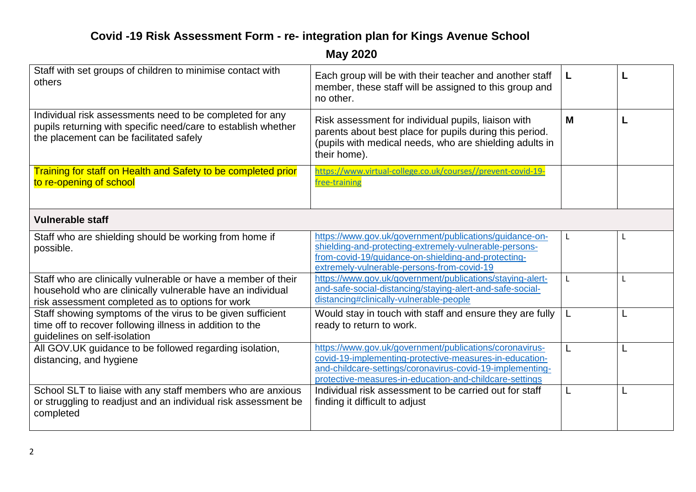| Staff with set groups of children to minimise contact with<br>others                                                                                                            | Each group will be with their teacher and another staff<br>member, these staff will be assigned to this group and<br>no other.                                                                                                             |   |  |
|---------------------------------------------------------------------------------------------------------------------------------------------------------------------------------|--------------------------------------------------------------------------------------------------------------------------------------------------------------------------------------------------------------------------------------------|---|--|
| Individual risk assessments need to be completed for any<br>pupils returning with specific need/care to establish whether<br>the placement can be facilitated safely            | Risk assessment for individual pupils, liaison with<br>parents about best place for pupils during this period.<br>(pupils with medical needs, who are shielding adults in<br>their home).                                                  | M |  |
| Training for staff on Health and Safety to be completed prior<br>to re-opening of school                                                                                        | https://www.virtual-college.co.uk/courses//prevent-covid-19-<br>free-training                                                                                                                                                              |   |  |
| <b>Vulnerable staff</b>                                                                                                                                                         |                                                                                                                                                                                                                                            |   |  |
| Staff who are shielding should be working from home if<br>possible.                                                                                                             | https://www.gov.uk/government/publications/guidance-on-<br>shielding-and-protecting-extremely-vulnerable-persons-<br>from-covid-19/guidance-on-shielding-and-protecting-<br>extremely-vulnerable-persons-from-covid-19                     | L |  |
| Staff who are clinically vulnerable or have a member of their<br>household who are clinically vulnerable have an individual<br>risk assessment completed as to options for work | https://www.gov.uk/government/publications/staying-alert-<br>and-safe-social-distancing/staying-alert-and-safe-social-<br>distancing#clinically-vulnerable-people                                                                          | L |  |
| Staff showing symptoms of the virus to be given sufficient<br>time off to recover following illness in addition to the<br>guidelines on self-isolation                          | Would stay in touch with staff and ensure they are fully<br>ready to return to work.                                                                                                                                                       |   |  |
| All GOV.UK guidance to be followed regarding isolation,<br>distancing, and hygiene                                                                                              | https://www.gov.uk/government/publications/coronavirus-<br>covid-19-implementing-protective-measures-in-education-<br>and-childcare-settings/coronavirus-covid-19-implementing-<br>protective-measures-in-education-and-childcare-settings | L |  |
| School SLT to liaise with any staff members who are anxious<br>or struggling to readjust and an individual risk assessment be<br>completed                                      | Individual risk assessment to be carried out for staff<br>finding it difficult to adjust                                                                                                                                                   | L |  |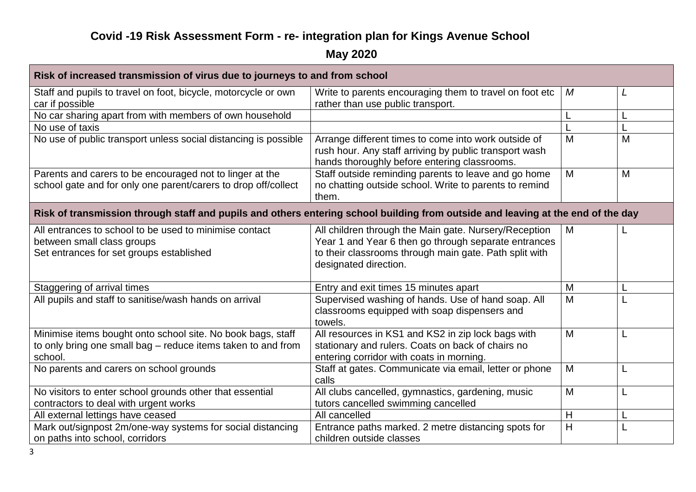| Risk of increased transmission of virus due to journeys to and from school                                                             |                                                                                                                                                                                                  |   |   |
|----------------------------------------------------------------------------------------------------------------------------------------|--------------------------------------------------------------------------------------------------------------------------------------------------------------------------------------------------|---|---|
| Staff and pupils to travel on foot, bicycle, motorcycle or own<br>car if possible                                                      | Write to parents encouraging them to travel on foot etc<br>rather than use public transport.                                                                                                     | M |   |
| No car sharing apart from with members of own household                                                                                |                                                                                                                                                                                                  | L |   |
| No use of taxis                                                                                                                        |                                                                                                                                                                                                  |   |   |
| No use of public transport unless social distancing is possible                                                                        | Arrange different times to come into work outside of<br>rush hour. Any staff arriving by public transport wash<br>hands thoroughly before entering classrooms.                                   | M | M |
| Parents and carers to be encouraged not to linger at the<br>school gate and for only one parent/carers to drop off/collect             | Staff outside reminding parents to leave and go home<br>no chatting outside school. Write to parents to remind<br>them.                                                                          | M | M |
| Risk of transmission through staff and pupils and others entering school building from outside and leaving at the end of the day       |                                                                                                                                                                                                  |   |   |
| All entrances to school to be used to minimise contact<br>between small class groups<br>Set entrances for set groups established       | All children through the Main gate. Nursery/Reception<br>Year 1 and Year 6 then go through separate entrances<br>to their classrooms through main gate. Path split with<br>designated direction. | M |   |
| Staggering of arrival times                                                                                                            | Entry and exit times 15 minutes apart                                                                                                                                                            | M |   |
| All pupils and staff to sanitise/wash hands on arrival                                                                                 | Supervised washing of hands. Use of hand soap. All<br>classrooms equipped with soap dispensers and<br>towels.                                                                                    | M |   |
| Minimise items bought onto school site. No book bags, staff<br>to only bring one small bag - reduce items taken to and from<br>school. | All resources in KS1 and KS2 in zip lock bags with<br>stationary and rulers. Coats on back of chairs no<br>entering corridor with coats in morning.                                              | M |   |
| No parents and carers on school grounds                                                                                                | Staff at gates. Communicate via email, letter or phone<br>calls                                                                                                                                  | M | L |
| No visitors to enter school grounds other that essential<br>contractors to deal with urgent works                                      | All clubs cancelled, gymnastics, gardening, music<br>tutors cancelled swimming cancelled                                                                                                         | M |   |
| All external lettings have ceased                                                                                                      | All cancelled                                                                                                                                                                                    | H |   |
| Mark out/signpost 2m/one-way systems for social distancing<br>on paths into school, corridors                                          | Entrance paths marked. 2 metre distancing spots for<br>children outside classes                                                                                                                  | H |   |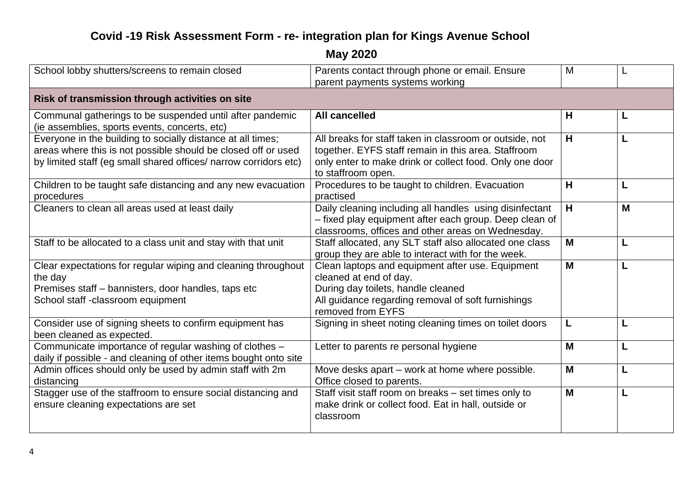| School lobby shutters/screens to remain closed                                                                                                                                                                                                    | Parents contact through phone or email. Ensure                                                                                                                                                  | M |   |
|---------------------------------------------------------------------------------------------------------------------------------------------------------------------------------------------------------------------------------------------------|-------------------------------------------------------------------------------------------------------------------------------------------------------------------------------------------------|---|---|
|                                                                                                                                                                                                                                                   | parent payments systems working                                                                                                                                                                 |   |   |
| Risk of transmission through activities on site                                                                                                                                                                                                   |                                                                                                                                                                                                 |   |   |
| Communal gatherings to be suspended until after pandemic                                                                                                                                                                                          | <b>All cancelled</b>                                                                                                                                                                            | H |   |
| (ie assemblies, sports events, concerts, etc)<br>Everyone in the building to socially distance at all times;<br>areas where this is not possible should be closed off or used<br>by limited staff (eg small shared offices/ narrow corridors etc) | All breaks for staff taken in classroom or outside, not<br>together. EYFS staff remain in this area. Staffroom<br>only enter to make drink or collect food. Only one door<br>to staffroom open. | H |   |
| Children to be taught safe distancing and any new evacuation<br>procedures                                                                                                                                                                        | Procedures to be taught to children. Evacuation<br>practised                                                                                                                                    | H | L |
| Cleaners to clean all areas used at least daily                                                                                                                                                                                                   | Daily cleaning including all handles using disinfectant<br>- fixed play equipment after each group. Deep clean of<br>classrooms, offices and other areas on Wednesday.                          | H | M |
| Staff to be allocated to a class unit and stay with that unit                                                                                                                                                                                     | Staff allocated, any SLT staff also allocated one class<br>group they are able to interact with for the week.                                                                                   | M |   |
| Clear expectations for regular wiping and cleaning throughout<br>the day<br>Premises staff - bannisters, door handles, taps etc<br>School staff -classroom equipment                                                                              | Clean laptops and equipment after use. Equipment<br>cleaned at end of day.<br>During day toilets, handle cleaned<br>All guidance regarding removal of soft furnishings<br>removed from EYFS     | M |   |
| Consider use of signing sheets to confirm equipment has<br>been cleaned as expected.                                                                                                                                                              | Signing in sheet noting cleaning times on toilet doors                                                                                                                                          | L |   |
| Communicate importance of regular washing of clothes -<br>daily if possible - and cleaning of other items bought onto site                                                                                                                        | Letter to parents re personal hygiene                                                                                                                                                           | M |   |
| Admin offices should only be used by admin staff with 2m<br>distancing                                                                                                                                                                            | Move desks apart – work at home where possible.<br>Office closed to parents.                                                                                                                    | M | L |
| Stagger use of the staffroom to ensure social distancing and<br>ensure cleaning expectations are set                                                                                                                                              | Staff visit staff room on breaks - set times only to<br>make drink or collect food. Eat in hall, outside or<br>classroom                                                                        | M |   |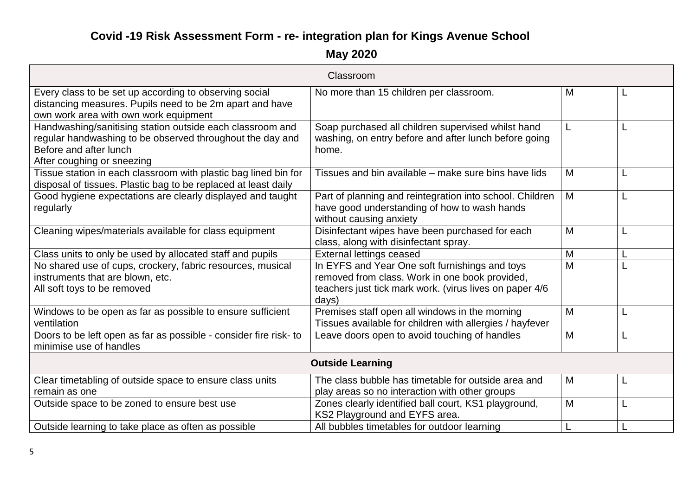|                                                                                                                                                                                | Classroom                                                                                                                                                            |   |   |
|--------------------------------------------------------------------------------------------------------------------------------------------------------------------------------|----------------------------------------------------------------------------------------------------------------------------------------------------------------------|---|---|
| Every class to be set up according to observing social<br>distancing measures. Pupils need to be 2m apart and have<br>own work area with own work equipment                    | No more than 15 children per classroom.                                                                                                                              | M |   |
| Handwashing/sanitising station outside each classroom and<br>regular handwashing to be observed throughout the day and<br>Before and after lunch<br>After coughing or sneezing | Soap purchased all children supervised whilst hand<br>washing, on entry before and after lunch before going<br>home.                                                 | L |   |
| Tissue station in each classroom with plastic bag lined bin for<br>disposal of tissues. Plastic bag to be replaced at least daily                                              | Tissues and bin available – make sure bins have lids                                                                                                                 | M | L |
| Good hygiene expectations are clearly displayed and taught<br>regularly                                                                                                        | Part of planning and reintegration into school. Children<br>have good understanding of how to wash hands<br>without causing anxiety                                  | M |   |
| Cleaning wipes/materials available for class equipment                                                                                                                         | Disinfectant wipes have been purchased for each<br>class, along with disinfectant spray.                                                                             | M |   |
| Class units to only be used by allocated staff and pupils                                                                                                                      | <b>External lettings ceased</b>                                                                                                                                      | M |   |
| No shared use of cups, crockery, fabric resources, musical<br>instruments that are blown, etc.<br>All soft toys to be removed                                                  | In EYFS and Year One soft furnishings and toys<br>removed from class. Work in one book provided,<br>teachers just tick mark work. (virus lives on paper 4/6<br>days) | M |   |
| Windows to be open as far as possible to ensure sufficient<br>ventilation                                                                                                      | Premises staff open all windows in the morning<br>Tissues available for children with allergies / hayfever                                                           | M |   |
| Doors to be left open as far as possible - consider fire risk- to<br>minimise use of handles                                                                                   | Leave doors open to avoid touching of handles                                                                                                                        | M |   |
| <b>Outside Learning</b>                                                                                                                                                        |                                                                                                                                                                      |   |   |
| Clear timetabling of outside space to ensure class units<br>remain as one                                                                                                      | The class bubble has timetable for outside area and<br>play areas so no interaction with other groups                                                                | M |   |
| Outside space to be zoned to ensure best use                                                                                                                                   | Zones clearly identified ball court, KS1 playground,<br>KS2 Playground and EYFS area.                                                                                | M |   |
| Outside learning to take place as often as possible                                                                                                                            | All bubbles timetables for outdoor learning                                                                                                                          |   |   |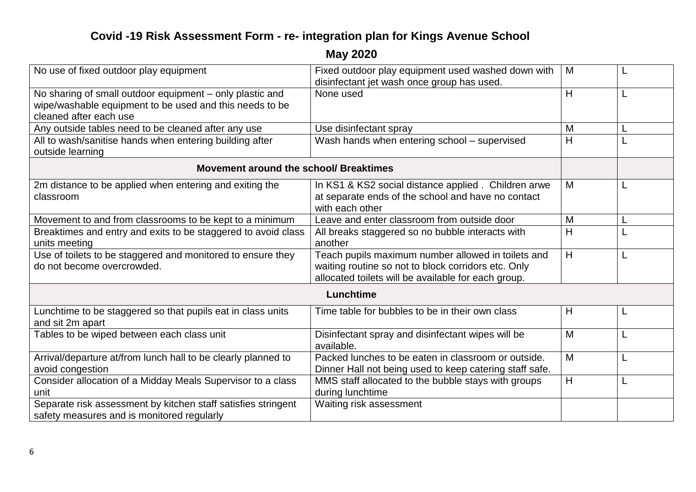| No use of fixed outdoor play equipment                                                                                                        | Fixed outdoor play equipment used washed down with<br>disinfectant jet wash once group has used.                                                                 | M | ┗ |
|-----------------------------------------------------------------------------------------------------------------------------------------------|------------------------------------------------------------------------------------------------------------------------------------------------------------------|---|---|
| No sharing of small outdoor equipment - only plastic and<br>wipe/washable equipment to be used and this needs to be<br>cleaned after each use | None used                                                                                                                                                        | H | L |
| Any outside tables need to be cleaned after any use                                                                                           | Use disinfectant spray                                                                                                                                           | M |   |
| All to wash/sanitise hands when entering building after<br>outside learning                                                                   | Wash hands when entering school - supervised                                                                                                                     | H |   |
| Movement around the school/ Breaktimes                                                                                                        |                                                                                                                                                                  |   |   |
| 2m distance to be applied when entering and exiting the<br>classroom                                                                          | In KS1 & KS2 social distance applied. Children arwe<br>at separate ends of the school and have no contact<br>with each other                                     | M | L |
| Movement to and from classrooms to be kept to a minimum                                                                                       | Leave and enter classroom from outside door                                                                                                                      | M |   |
| Breaktimes and entry and exits to be staggered to avoid class<br>units meeting                                                                | All breaks staggered so no bubble interacts with<br>another                                                                                                      | H |   |
| Use of toilets to be staggered and monitored to ensure they<br>do not become overcrowded.                                                     | Teach pupils maximum number allowed in toilets and<br>waiting routine so not to block corridors etc. Only<br>allocated toilets will be available for each group. | H | L |
|                                                                                                                                               | Lunchtime                                                                                                                                                        |   |   |
| Lunchtime to be staggered so that pupils eat in class units<br>and sit 2m apart                                                               | Time table for bubbles to be in their own class                                                                                                                  | H | L |
| Tables to be wiped between each class unit                                                                                                    | Disinfectant spray and disinfectant wipes will be<br>available.                                                                                                  | M |   |
| Arrival/departure at/from lunch hall to be clearly planned to<br>avoid congestion                                                             | Packed lunches to be eaten in classroom or outside.<br>Dinner Hall not being used to keep catering staff safe.                                                   | M | L |
| Consider allocation of a Midday Meals Supervisor to a class<br>unit                                                                           | MMS staff allocated to the bubble stays with groups<br>during lunchtime                                                                                          | H | L |
| Separate risk assessment by kitchen staff satisfies stringent<br>safety measures and is monitored regularly                                   | Waiting risk assessment                                                                                                                                          |   |   |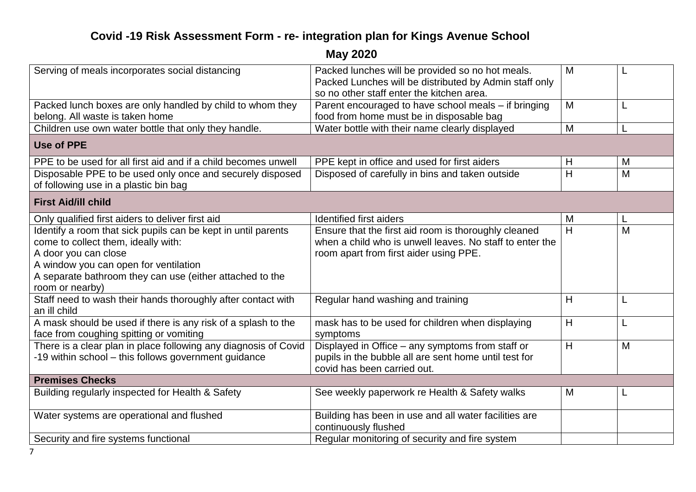| Serving of meals incorporates social distancing                                                                                                                                                                                   | Packed lunches will be provided so no hot meals.<br>Packed Lunches will be distributed by Admin staff only                                                 | M |   |
|-----------------------------------------------------------------------------------------------------------------------------------------------------------------------------------------------------------------------------------|------------------------------------------------------------------------------------------------------------------------------------------------------------|---|---|
|                                                                                                                                                                                                                                   | so no other staff enter the kitchen area.                                                                                                                  |   |   |
| Packed lunch boxes are only handled by child to whom they                                                                                                                                                                         | Parent encouraged to have school meals - if bringing                                                                                                       | M | L |
| belong. All waste is taken home                                                                                                                                                                                                   | food from home must be in disposable bag                                                                                                                   |   |   |
| Children use own water bottle that only they handle.                                                                                                                                                                              | Water bottle with their name clearly displayed                                                                                                             | M |   |
| <b>Use of PPE</b>                                                                                                                                                                                                                 |                                                                                                                                                            |   |   |
| PPE to be used for all first aid and if a child becomes unwell                                                                                                                                                                    | PPE kept in office and used for first aiders                                                                                                               | H | M |
| Disposable PPE to be used only once and securely disposed<br>of following use in a plastic bin bag                                                                                                                                | Disposed of carefully in bins and taken outside                                                                                                            | H | M |
| <b>First Aid/ill child</b>                                                                                                                                                                                                        |                                                                                                                                                            |   |   |
| Only qualified first aiders to deliver first aid                                                                                                                                                                                  | <b>Identified first aiders</b>                                                                                                                             | M |   |
| Identify a room that sick pupils can be kept in until parents<br>come to collect them, ideally with:<br>A door you can close<br>A window you can open for ventilation<br>A separate bathroom they can use (either attached to the | Ensure that the first aid room is thoroughly cleaned<br>when a child who is unwell leaves. No staff to enter the<br>room apart from first aider using PPE. | H | M |
| room or nearby)                                                                                                                                                                                                                   |                                                                                                                                                            |   |   |
| Staff need to wash their hands thoroughly after contact with<br>an ill child                                                                                                                                                      | Regular hand washing and training                                                                                                                          | Η |   |
| A mask should be used if there is any risk of a splash to the<br>face from coughing spitting or vomiting                                                                                                                          | mask has to be used for children when displaying<br>symptoms                                                                                               | H |   |
| There is a clear plan in place following any diagnosis of Covid<br>-19 within school - this follows government guidance                                                                                                           | Displayed in Office - any symptoms from staff or<br>pupils in the bubble all are sent home until test for<br>covid has been carried out.                   | H | M |
| <b>Premises Checks</b>                                                                                                                                                                                                            |                                                                                                                                                            |   |   |
| Building regularly inspected for Health & Safety                                                                                                                                                                                  | See weekly paperwork re Health & Safety walks                                                                                                              | M |   |
| Water systems are operational and flushed                                                                                                                                                                                         | Building has been in use and all water facilities are<br>continuously flushed                                                                              |   |   |
| Security and fire systems functional                                                                                                                                                                                              | Regular monitoring of security and fire system                                                                                                             |   |   |